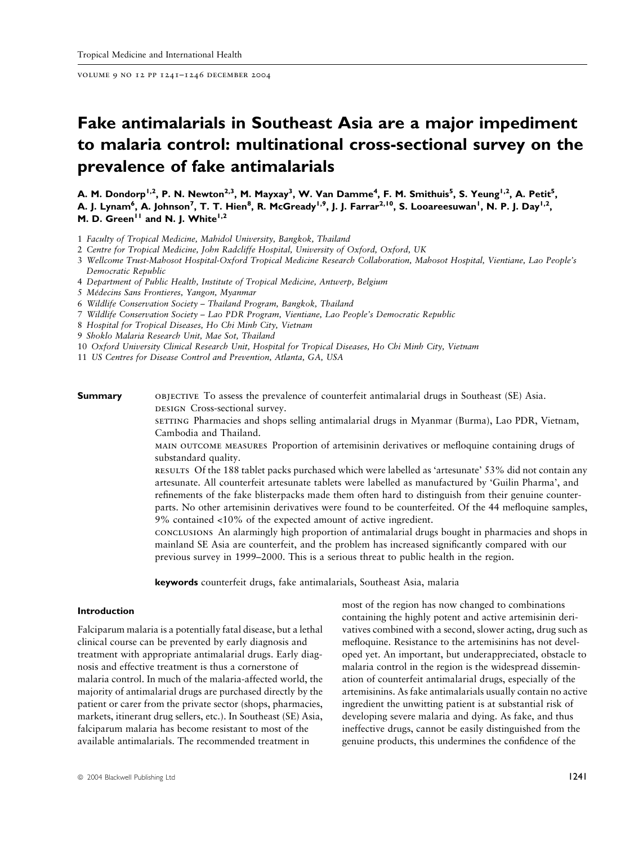volume 9 no 12 pp 1241–1246 december 2004

# Fake antimalarials in Southeast Asia are a major impediment to malaria control: multinational cross-sectional survey on the prevalence of fake antimalarials

A. M. Dondorp<sup>1,2</sup>, P. N. Newton<sup>2,3</sup>, M. Mayxay<sup>3</sup>, W. Van Damme<sup>4</sup>, F. M. Smithuis<sup>5</sup>, S. Yeung<sup>1,2</sup>, A. Petit<sup>5</sup>, A. J. Lynam<sup>6</sup>, A. Johnson<sup>7</sup>, T. T. Hien<sup>8</sup>, R. McGready<sup>1,9</sup>, J. J. Farrar<sup>2,10</sup>, S. Looareesuwan<sup>1</sup>, N. P. J. Day<sup>1,2</sup>, M. D. Green<sup>11</sup> and N. J. White<sup>1,2</sup>

1 Faculty of Tropical Medicine, Mahidol University, Bangkok, Thailand

2 Centre for Tropical Medicine, John Radcliffe Hospital, University of Oxford, Oxford, UK

- 3 Wellcome Trust-Mahosot Hospital-Oxford Tropical Medicine Research Collaboration, Mahosot Hospital, Vientiane, Lao People's Democratic Republic
- 4 Department of Public Health, Institute of Tropical Medicine, Antwerp, Belgium
- 5 Médecins Sans Frontieres, Yangon, Myanmar
- 6 Wildlife Conservation Society Thailand Program, Bangkok, Thailand
- 7 Wildlife Conservation Society Lao PDR Program, Vientiane, Lao People's Democratic Republic

8 Hospital for Tropical Diseases, Ho Chi Minh City, Vietnam

- 9 Shoklo Malaria Research Unit, Mae Sot, Thailand
- 10 Oxford University Clinical Research Unit, Hospital for Tropical Diseases, Ho Chi Minh City, Vietnam
- 11 US Centres for Disease Control and Prevention, Atlanta, GA, USA

**Summary OBJECTIVE TO assess the prevalence of counterfeit antimalarial drugs in Southeast (SE) Asia.** DESIGN Cross-sectional survey.

setting Pharmacies and shops selling antimalarial drugs in Myanmar (Burma), Lao PDR, Vietnam, Cambodia and Thailand.

main outcome measures Proportion of artemisinin derivatives or mefloquine containing drugs of substandard quality.

results Of the 188 tablet packs purchased which were labelled as 'artesunate' 53% did not contain any artesunate. All counterfeit artesunate tablets were labelled as manufactured by 'Guilin Pharma', and refinements of the fake blisterpacks made them often hard to distinguish from their genuine counterparts. No other artemisinin derivatives were found to be counterfeited. Of the 44 mefloquine samples, 9% contained <10% of the expected amount of active ingredient.

conclusions An alarmingly high proportion of antimalarial drugs bought in pharmacies and shops in mainland SE Asia are counterfeit, and the problem has increased significantly compared with our previous survey in 1999–2000. This is a serious threat to public health in the region.

keywords counterfeit drugs, fake antimalarials, Southeast Asia, malaria

#### Introduction

Falciparum malaria is a potentially fatal disease, but a lethal clinical course can be prevented by early diagnosis and treatment with appropriate antimalarial drugs. Early diagnosis and effective treatment is thus a cornerstone of malaria control. In much of the malaria-affected world, the majority of antimalarial drugs are purchased directly by the patient or carer from the private sector (shops, pharmacies, markets, itinerant drug sellers, etc.). In Southeast (SE) Asia, falciparum malaria has become resistant to most of the available antimalarials. The recommended treatment in

most of the region has now changed to combinations containing the highly potent and active artemisinin derivatives combined with a second, slower acting, drug such as mefloquine. Resistance to the artemisinins has not developed yet. An important, but underappreciated, obstacle to malaria control in the region is the widespread dissemination of counterfeit antimalarial drugs, especially of the artemisinins. As fake antimalarials usually contain no active ingredient the unwitting patient is at substantial risk of developing severe malaria and dying. As fake, and thus ineffective drugs, cannot be easily distinguished from the genuine products, this undermines the confidence of the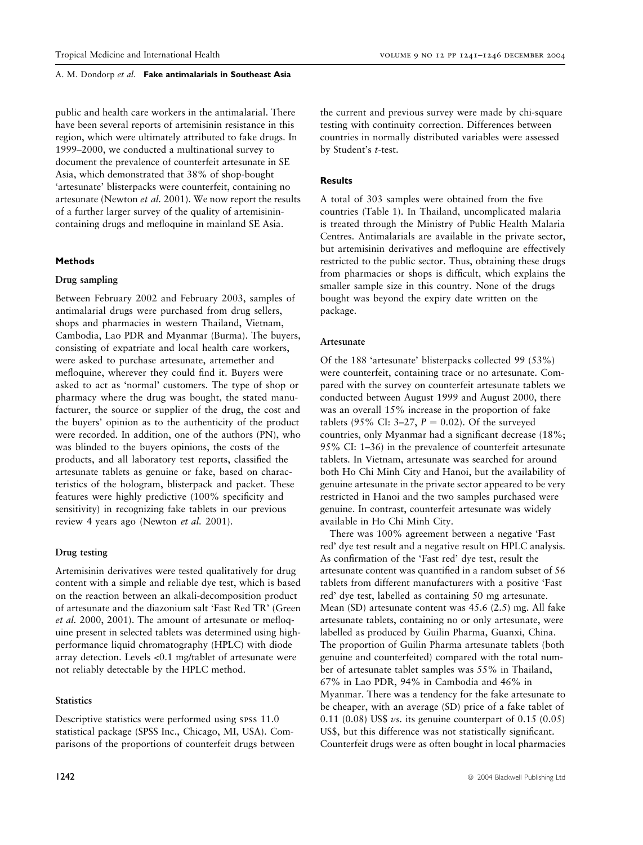public and health care workers in the antimalarial. There have been several reports of artemisinin resistance in this region, which were ultimately attributed to fake drugs. In 1999–2000, we conducted a multinational survey to document the prevalence of counterfeit artesunate in SE Asia, which demonstrated that 38% of shop-bought 'artesunate' blisterpacks were counterfeit, containing no artesunate (Newton et al. 2001). We now report the results of a further larger survey of the quality of artemisinincontaining drugs and mefloquine in mainland SE Asia.

# **Methods**

# Drug sampling

Between February 2002 and February 2003, samples of antimalarial drugs were purchased from drug sellers, shops and pharmacies in western Thailand, Vietnam, Cambodia, Lao PDR and Myanmar (Burma). The buyers, consisting of expatriate and local health care workers, were asked to purchase artesunate, artemether and mefloquine, wherever they could find it. Buyers were asked to act as 'normal' customers. The type of shop or pharmacy where the drug was bought, the stated manufacturer, the source or supplier of the drug, the cost and the buyers' opinion as to the authenticity of the product were recorded. In addition, one of the authors (PN), who was blinded to the buyers opinions, the costs of the products, and all laboratory test reports, classified the artesunate tablets as genuine or fake, based on characteristics of the hologram, blisterpack and packet. These features were highly predictive (100% specificity and sensitivity) in recognizing fake tablets in our previous review 4 years ago (Newton *et al.* 2001).

## Drug testing

Artemisinin derivatives were tested qualitatively for drug content with a simple and reliable dye test, which is based on the reaction between an alkali-decomposition product of artesunate and the diazonium salt 'Fast Red TR' (Green et al. 2000, 2001). The amount of artesunate or mefloquine present in selected tablets was determined using highperformance liquid chromatography (HPLC) with diode array detection. Levels <0.1 mg/tablet of artesunate were not reliably detectable by the HPLC method.

#### **Statistics**

Descriptive statistics were performed using spss 11.0 statistical package (SPSS Inc., Chicago, MI, USA). Comparisons of the proportions of counterfeit drugs between

the current and previous survey were made by chi-square testing with continuity correction. Differences between countries in normally distributed variables were assessed by Student's t-test.

#### **Results**

A total of 303 samples were obtained from the five countries (Table 1). In Thailand, uncomplicated malaria is treated through the Ministry of Public Health Malaria Centres. Antimalarials are available in the private sector, but artemisinin derivatives and mefloquine are effectively restricted to the public sector. Thus, obtaining these drugs from pharmacies or shops is difficult, which explains the smaller sample size in this country. None of the drugs bought was beyond the expiry date written on the package.

# Artesunate

Of the 188 'artesunate' blisterpacks collected 99 (53%) were counterfeit, containing trace or no artesunate. Compared with the survey on counterfeit artesunate tablets we conducted between August 1999 and August 2000, there was an overall 15% increase in the proportion of fake tablets (95% CI: 3–27,  $P = 0.02$ ). Of the surveyed countries, only Myanmar had a significant decrease (18%; 95% CI: 1–36) in the prevalence of counterfeit artesunate tablets. In Vietnam, artesunate was searched for around both Ho Chi Minh City and Hanoi, but the availability of genuine artesunate in the private sector appeared to be very restricted in Hanoi and the two samples purchased were genuine. In contrast, counterfeit artesunate was widely available in Ho Chi Minh City.

There was 100% agreement between a negative 'Fast red' dye test result and a negative result on HPLC analysis. As confirmation of the 'Fast red' dye test, result the artesunate content was quantified in a random subset of 56 tablets from different manufacturers with a positive 'Fast red' dye test, labelled as containing 50 mg artesunate. Mean (SD) artesunate content was 45.6 (2.5) mg. All fake artesunate tablets, containing no or only artesunate, were labelled as produced by Guilin Pharma, Guanxi, China. The proportion of Guilin Pharma artesunate tablets (both genuine and counterfeited) compared with the total number of artesunate tablet samples was 55% in Thailand, 67% in Lao PDR, 94% in Cambodia and 46% in Myanmar. There was a tendency for the fake artesunate to be cheaper, with an average (SD) price of a fake tablet of 0.11 (0.08) US\$ *vs*. its genuine counterpart of 0.15 (0.05) US\$, but this difference was not statistically significant. Counterfeit drugs were as often bought in local pharmacies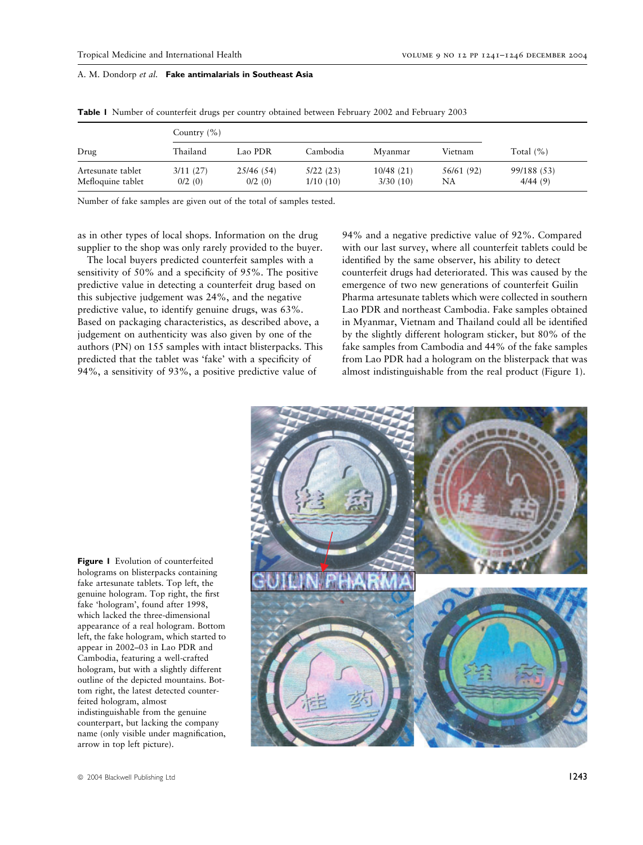| Drug                                   | Country $(\% )$    |                      |                      |                       |                  |                        |
|----------------------------------------|--------------------|----------------------|----------------------|-----------------------|------------------|------------------------|
|                                        | Thailand           | Lao PDR              | Cambodia             | Myanmar               | Vietnam          | Total $(\% )$          |
| Artesunate tablet<br>Mefloquine tablet | 3/11(27)<br>0/2(0) | 25/46 (54)<br>0/2(0) | 5/22(23)<br>1/10(10) | 10/48(21)<br>3/30(10) | 56/61 (92)<br>NA | 99/188 (53)<br>4/44(9) |

Table I Number of counterfeit drugs per country obtained between February 2002 and February 2003

Number of fake samples are given out of the total of samples tested.

as in other types of local shops. Information on the drug supplier to the shop was only rarely provided to the buyer.

The local buyers predicted counterfeit samples with a sensitivity of 50% and a specificity of 95%. The positive predictive value in detecting a counterfeit drug based on this subjective judgement was 24%, and the negative predictive value, to identify genuine drugs, was 63%. Based on packaging characteristics, as described above, a judgement on authenticity was also given by one of the authors (PN) on 155 samples with intact blisterpacks. This predicted that the tablet was 'fake' with a specificity of 94%, a sensitivity of 93%, a positive predictive value of

94% and a negative predictive value of 92%. Compared with our last survey, where all counterfeit tablets could be identified by the same observer, his ability to detect counterfeit drugs had deteriorated. This was caused by the emergence of two new generations of counterfeit Guilin Pharma artesunate tablets which were collected in southern Lao PDR and northeast Cambodia. Fake samples obtained in Myanmar, Vietnam and Thailand could all be identified by the slightly different hologram sticker, but 80% of the fake samples from Cambodia and 44% of the fake samples from Lao PDR had a hologram on the blisterpack that was almost indistinguishable from the real product (Figure 1).



Figure 1 Evolution of counterfeited holograms on blisterpacks containing fake artesunate tablets. Top left, the genuine hologram. Top right, the first fake 'hologram', found after 1998, which lacked the three-dimensional appearance of a real hologram. Bottom left, the fake hologram, which started to appear in 2002–03 in Lao PDR and Cambodia, featuring a well-crafted hologram, but with a slightly different outline of the depicted mountains. Bottom right, the latest detected counterfeited hologram, almost indistinguishable from the genuine counterpart, but lacking the company name (only visible under magnification, arrow in top left picture).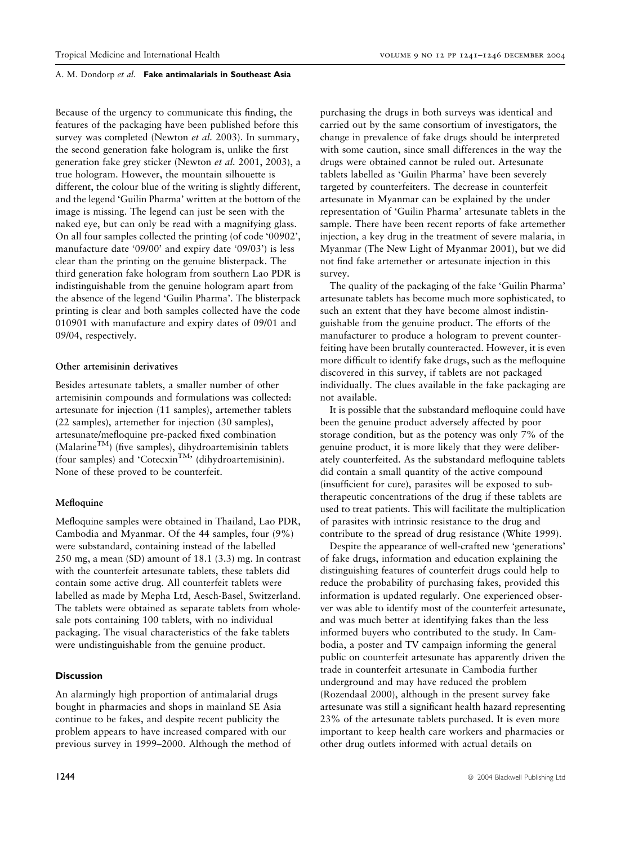Because of the urgency to communicate this finding, the features of the packaging have been published before this survey was completed (Newton *et al.* 2003). In summary, the second generation fake hologram is, unlike the first generation fake grey sticker (Newton et al. 2001, 2003), a true hologram. However, the mountain silhouette is different, the colour blue of the writing is slightly different, and the legend 'Guilin Pharma' written at the bottom of the image is missing. The legend can just be seen with the naked eye, but can only be read with a magnifying glass. On all four samples collected the printing (of code '00902', manufacture date '09/00' and expiry date '09/03') is less clear than the printing on the genuine blisterpack. The third generation fake hologram from southern Lao PDR is indistinguishable from the genuine hologram apart from the absence of the legend 'Guilin Pharma'. The blisterpack printing is clear and both samples collected have the code 010901 with manufacture and expiry dates of 09/01 and 09/04, respectively.

# Other artemisinin derivatives

Besides artesunate tablets, a smaller number of other artemisinin compounds and formulations was collected: artesunate for injection (11 samples), artemether tablets (22 samples), artemether for injection (30 samples), artesunate/mefloquine pre-packed fixed combination (MalarineTM) (five samples), dihydroartemisinin tablets  $($ four samples) and 'Cotecxin<sup>TM</sup>' (dihydroartemisinin). None of these proved to be counterfeit.

#### Mefloquine

Mefloquine samples were obtained in Thailand, Lao PDR, Cambodia and Myanmar. Of the 44 samples, four (9%) were substandard, containing instead of the labelled 250 mg, a mean (SD) amount of 18.1 (3.3) mg. In contrast with the counterfeit artesunate tablets, these tablets did contain some active drug. All counterfeit tablets were labelled as made by Mepha Ltd, Aesch-Basel, Switzerland. The tablets were obtained as separate tablets from wholesale pots containing 100 tablets, with no individual packaging. The visual characteristics of the fake tablets were undistinguishable from the genuine product.

#### **Discussion**

An alarmingly high proportion of antimalarial drugs bought in pharmacies and shops in mainland SE Asia continue to be fakes, and despite recent publicity the problem appears to have increased compared with our previous survey in 1999–2000. Although the method of

purchasing the drugs in both surveys was identical and carried out by the same consortium of investigators, the change in prevalence of fake drugs should be interpreted with some caution, since small differences in the way the drugs were obtained cannot be ruled out. Artesunate tablets labelled as 'Guilin Pharma' have been severely targeted by counterfeiters. The decrease in counterfeit artesunate in Myanmar can be explained by the under representation of 'Guilin Pharma' artesunate tablets in the sample. There have been recent reports of fake artemether injection, a key drug in the treatment of severe malaria, in Myanmar (The New Light of Myanmar 2001), but we did not find fake artemether or artesunate injection in this survey.

The quality of the packaging of the fake 'Guilin Pharma' artesunate tablets has become much more sophisticated, to such an extent that they have become almost indistinguishable from the genuine product. The efforts of the manufacturer to produce a hologram to prevent counterfeiting have been brutally counteracted. However, it is even more difficult to identify fake drugs, such as the mefloquine discovered in this survey, if tablets are not packaged individually. The clues available in the fake packaging are not available.

It is possible that the substandard mefloquine could have been the genuine product adversely affected by poor storage condition, but as the potency was only 7% of the genuine product, it is more likely that they were deliberately counterfeited. As the substandard mefloquine tablets did contain a small quantity of the active compound (insufficient for cure), parasites will be exposed to subtherapeutic concentrations of the drug if these tablets are used to treat patients. This will facilitate the multiplication of parasites with intrinsic resistance to the drug and contribute to the spread of drug resistance (White 1999).

Despite the appearance of well-crafted new 'generations' of fake drugs, information and education explaining the distinguishing features of counterfeit drugs could help to reduce the probability of purchasing fakes, provided this information is updated regularly. One experienced observer was able to identify most of the counterfeit artesunate, and was much better at identifying fakes than the less informed buyers who contributed to the study. In Cambodia, a poster and TV campaign informing the general public on counterfeit artesunate has apparently driven the trade in counterfeit artesunate in Cambodia further underground and may have reduced the problem (Rozendaal 2000), although in the present survey fake artesunate was still a significant health hazard representing 23% of the artesunate tablets purchased. It is even more important to keep health care workers and pharmacies or other drug outlets informed with actual details on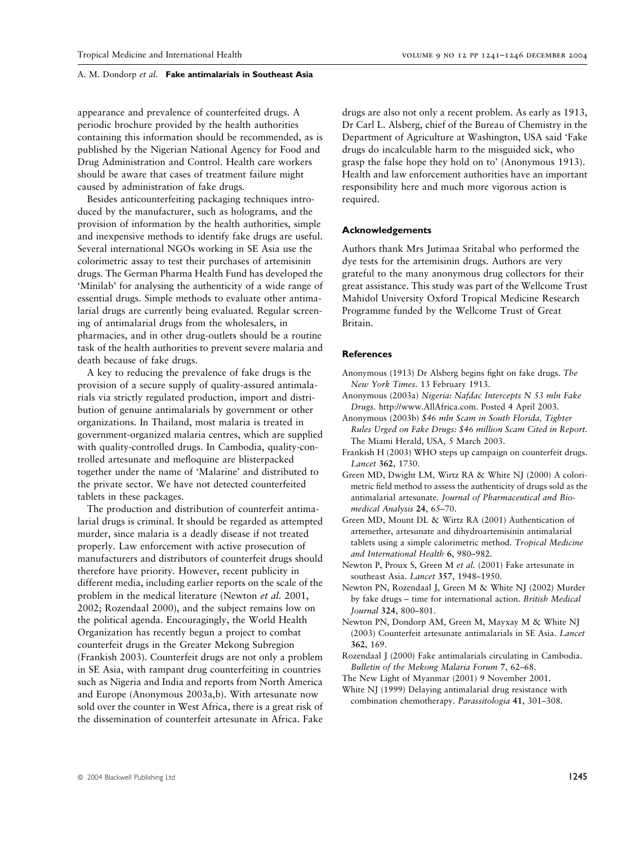appearance and prevalence of counterfeited drugs. A periodic brochure provided by the health authorities containing this information should be recommended, as is published by the Nigerian National Agency for Food and Drug Administration and Control. Health care workers should be aware that cases of treatment failure might caused by administration of fake drugs.

Besides anticounterfeiting packaging techniques introduced by the manufacturer, such as holograms, and the provision of information by the health authorities, simple and inexpensive methods to identify fake drugs are useful. Several international NGOs working in SE Asia use the colorimetric assay to test their purchases of artemisinin drugs. The German Pharma Health Fund has developed the 'Minilab' for analysing the authenticity of a wide range of essential drugs. Simple methods to evaluate other antimalarial drugs are currently being evaluated. Regular screening of antimalarial drugs from the wholesalers, in pharmacies, and in other drug-outlets should be a routine task of the health authorities to prevent severe malaria and death because of fake drugs.

A key to reducing the prevalence of fake drugs is the provision of a secure supply of quality-assured antimalarials via strictly regulated production, import and distribution of genuine antimalarials by government or other organizations. In Thailand, most malaria is treated in government-organized malaria centres, which are supplied with quality-controlled drugs. In Cambodia, quality-controlled artesunate and mefloquine are blisterpacked together under the name of 'Malarine' and distributed to the private sector. We have not detected counterfeited tablets in these packages.

The production and distribution of counterfeit antimalarial drugs is criminal. It should be regarded as attempted murder, since malaria is a deadly disease if not treated properly. Law enforcement with active prosecution of manufacturers and distributors of counterfeit drugs should therefore have priority. However, recent publicity in different media, including earlier reports on the scale of the problem in the medical literature (Newton et al. 2001, 2002; Rozendaal 2000), and the subject remains low on the political agenda. Encouragingly, the World Health Organization has recently begun a project to combat counterfeit drugs in the Greater Mekong Subregion (Frankish 2003). Counterfeit drugs are not only a problem in SE Asia, with rampant drug counterfeiting in countries such as Nigeria and India and reports from North America and Europe (Anonymous 2003a,b). With artesunate now sold over the counter in West Africa, there is a great risk of the dissemination of counterfeit artesunate in Africa. Fake drugs are also not only a recent problem. As early as 1913, Dr Carl L. Alsberg, chief of the Bureau of Chemistry in the Department of Agriculture at Washington, USA said 'Fake drugs do incalculable harm to the misguided sick, who grasp the false hope they hold on to' (Anonymous 1913). Health and law enforcement authorities have an important responsibility here and much more vigorous action is required.

#### Acknowledgements

Authors thank Mrs Jutimaa Sritabal who performed the dye tests for the artemisinin drugs. Authors are very grateful to the many anonymous drug collectors for their great assistance. This study was part of the Wellcome Trust Mahidol University Oxford Tropical Medicine Research Programme funded by the Wellcome Trust of Great Britain.

# **References**

- Anonymous (1913) Dr Alsberg begins fight on fake drugs. The New York Times. 13 February 1913.
- Anonymous (2003a) Nigeria: Nafdac Intercepts N 53 mln Fake Drugs. http://www.AllAfrica.com. Posted 4 April 2003.
- Anonymous (2003b) \$46 mln Scam in South Florida, Tighter Rules Urged on Fake Drugs: \$46 million Scam Cited in Report. The Miami Herald, USA, 5 March 2003.
- Frankish H (2003) WHO steps up campaign on counterfeit drugs. Lancet 362, 1730.
- Green MD, Dwight LM, Wirtz RA & White NJ (2000) A colorimetric field method to assess the authenticity of drugs sold as the antimalarial artesunate. Journal of Pharmaceutical and Biomedical Analysis 24, 65–70.
- Green MD, Mount DL & Wirtz RA (2001) Authentication of artemether, artesunate and dihydroartemisinin antimalarial tablets using a simple calorimetric method. Tropical Medicine and International Health 6, 980–982.
- Newton P, Proux S, Green M et al. (2001) Fake artesunate in southeast Asia. Lancet 357, 1948–1950.
- Newton PN, Rozendaal J, Green M & White NJ (2002) Murder by fake drugs – time for international action. British Medical Journal 324, 800–801.
- Newton PN, Dondorp AM, Green M, Mayxay M & White NJ (2003) Counterfeit artesunate antimalarials in SE Asia. Lancet 362, 169.
- Rozendaal J (2000) Fake antimalarials circulating in Cambodia. Bulletin of the Mekong Malaria Forum 7, 62–68.
- The New Light of Myanmar (2001) 9 November 2001.
- White NJ (1999) Delaying antimalarial drug resistance with combination chemotherapy. Parassitologia 41, 301–308.